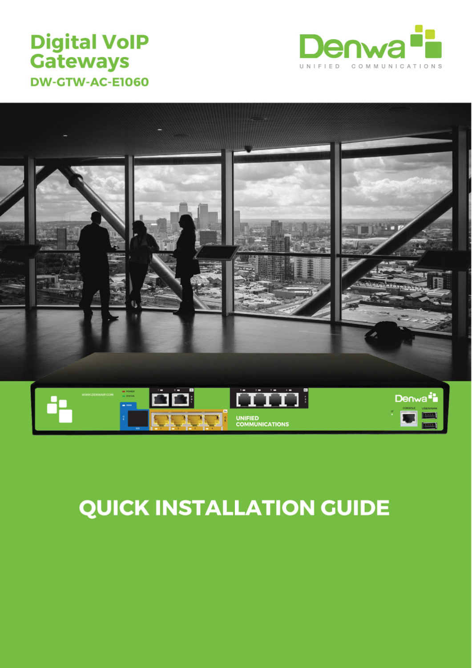## **Digital VoIP Gateways DW-GTW-AC-E1060**





# **QUICK INSTALLATION GUIDE**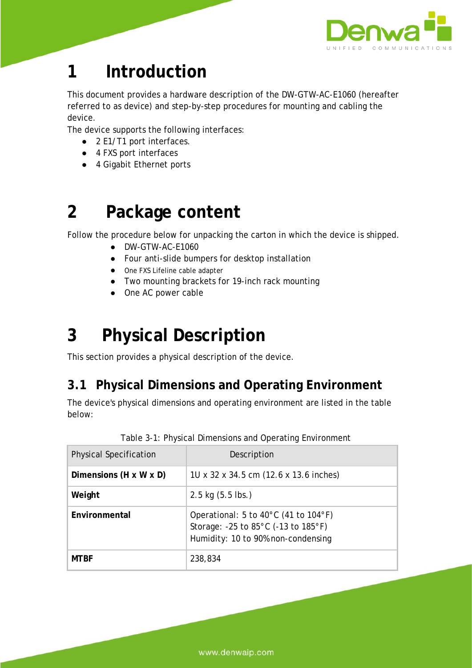

## **1 Introduction**

This document provides a hardware description of the DW-GTW-AC-E1060 (hereafter referred to as *device*) and step-by-step procedures for mounting and cabling the device.

The device supports the following interfaces:

- 2 E1/T1 port interfaces.
- 4 FXS port interfaces
- 4 Gigabit Ethernet ports

## **2 Package content**

Follow the procedure below for unpacking the carton in which the device is shipped.

- DW-GTW-AC-E1060
- Four anti-slide bumpers for desktop installation
- One FXS Lifeline cable adapter
- Two mounting brackets for 19-inch rack mounting
- One AC power cable

## **3 Physical Description**

This section provides a physical description of the device.

## **3.1 Physical Dimensions and Operating Environment**

The device's physical dimensions and operating environment are listed in the table below:

| <b>Physical Specification</b>      | Description                                                                                                                             |
|------------------------------------|-----------------------------------------------------------------------------------------------------------------------------------------|
| Dimensions $(H \times W \times D)$ | 10 x 32 x 34.5 cm (12.6 x 13.6 inches)                                                                                                  |
| Weight                             | $2.5 \text{ kg}$ (5.5 lbs.)                                                                                                             |
| Environmental                      | Operational: 5 to 40 $^{\circ}$ C (41 to 104 $^{\circ}$ F)<br>Storage: -25 to 85°C (-13 to 185°F)<br>Humidity: 10 to 90% non-condensing |
| <b>MTRF</b>                        | 238,834                                                                                                                                 |

|  | Table 3-1: Physical Dimensions and Operating Environment |  |  |
|--|----------------------------------------------------------|--|--|
|  |                                                          |  |  |
|  |                                                          |  |  |

www.denwaip.com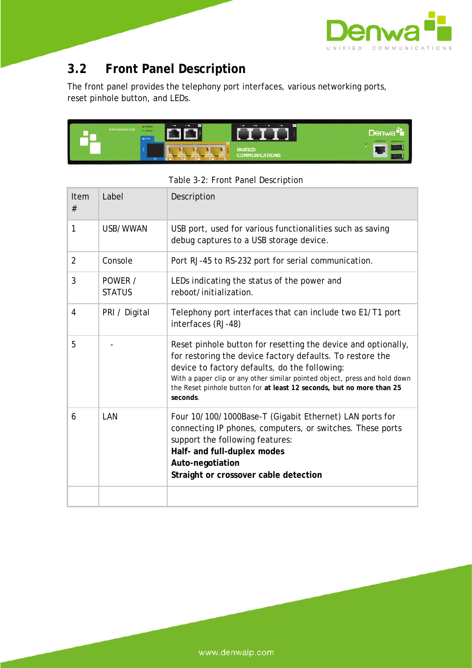

## **3.2 Front Panel Description**

The front panel provides the telephony port interfaces, various networking ports, reset pinhole button, and LEDs.



| Item<br>#      | Label                    | Description                                                                                                                                                                                                                                                                                                                                    |
|----------------|--------------------------|------------------------------------------------------------------------------------------------------------------------------------------------------------------------------------------------------------------------------------------------------------------------------------------------------------------------------------------------|
| 1              | USB/WWAN                 | USB port, used for various functionalities such as saving<br>debug captures to a USB storage device.                                                                                                                                                                                                                                           |
| $\overline{2}$ | Console                  | Port RJ-45 to RS-232 port for serial communication.                                                                                                                                                                                                                                                                                            |
| 3              | POWER /<br><b>STATUS</b> | LEDs indicating the status of the power and<br>reboot/initialization.                                                                                                                                                                                                                                                                          |
| 4              | PRI / Digital            | Telephony port interfaces that can include two E1/T1 port<br>interfaces (RJ-48)                                                                                                                                                                                                                                                                |
| 5              |                          | Reset pinhole button for resetting the device and optionally,<br>for restoring the device factory defaults. To restore the<br>device to factory defaults, do the following:<br>With a paper clip or any other similar pointed object, press and hold down<br>the Reset pinhole button for at least 12 seconds, but no more than 25<br>seconds. |
| 6              | LAN                      | Four 10/100/1000Base-T (Gigabit Ethernet) LAN ports for<br>connecting IP phones, computers, or switches. These ports<br>support the following features:<br>Half- and full-duplex modes<br>Auto-negotiation<br>Straight or crossover cable detection                                                                                            |
|                |                          |                                                                                                                                                                                                                                                                                                                                                |

Table 3-2: Front Panel Description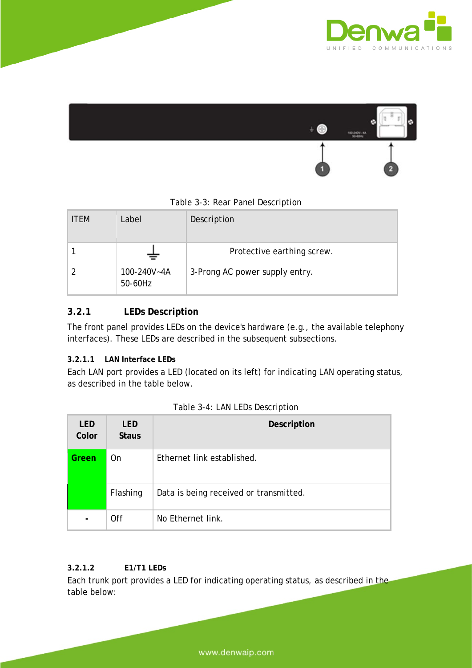



#### Table 3-3: Rear Panel Description

| <b>ITFM</b> | Label                  | Description                    |
|-------------|------------------------|--------------------------------|
|             |                        | Protective earthing screw.     |
|             | 100-240V~4A<br>50-60Hz | 3-Prong AC power supply entry. |

### **3.2.1 LEDs Description**

The front panel provides LEDs on the device's hardware (e.g., the available telephony interfaces). These LEDs are described in the subsequent subsections.

#### **3.2.1.1 LAN Interface LEDs**

Each LAN port provides a LED (located on its left) for indicating LAN operating status, as described in the table below.

| <b>LED</b><br>Color | <b>LED</b><br><b>Staus</b> | <b>Description</b>                     |
|---------------------|----------------------------|----------------------------------------|
| Green               | 0n                         | Ethernet link established.             |
|                     | Flashing                   | Data is being received or transmitted. |
|                     | Off                        | No Ethernet link.                      |

| Table 3-4: LAN LEDs Description |  |  |  |  |
|---------------------------------|--|--|--|--|
|---------------------------------|--|--|--|--|

#### **3.2.1.2 E1/T1 LEDs**

Each trunk port provides a LED for indicating operating status, as described in the table below: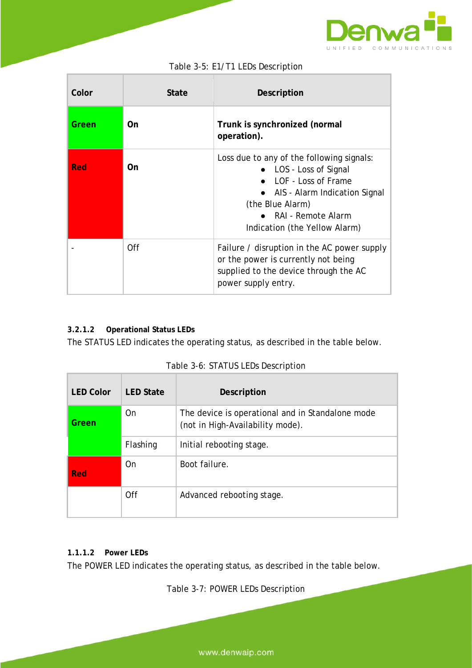

| Color | State | Description                                                                                                                                                                                                        |
|-------|-------|--------------------------------------------------------------------------------------------------------------------------------------------------------------------------------------------------------------------|
| Green | On.   | Trunk is synchronized (normal<br>operation).                                                                                                                                                                       |
| Red   | On.   | Loss due to any of the following signals:<br>• LOS - Loss of Signal<br>LOF - Loss of Frame<br>• AIS - Alarm Indication Signal<br>(the Blue Alarm)<br>$\bullet$ RAI - Remote Alarm<br>Indication (the Yellow Alarm) |
|       | Off   | Failure / disruption in the AC power supply<br>or the power is currently not being<br>supplied to the device through the AC<br>power supply entry.                                                                 |

#### Table 3-5: E1/T1 LEDs Description

### **3.2.1.2 Operational Status LEDs**

The STATUS LED indicates the operating status, as described in the table below.

| <b>LED Color</b> | <b>LED State</b> | <b>Description</b>                                                                   |
|------------------|------------------|--------------------------------------------------------------------------------------|
| Green            | <b>On</b>        | The device is operational and in Standalone mode<br>(not in High-Availability mode). |
|                  | Flashing         | Initial rebooting stage.                                                             |
| <b>Red</b>       | 0n               | Boot failure.                                                                        |
|                  | Off              | Advanced rebooting stage.                                                            |

| Table 3-6: STATUS LEDs Description |  |  |  |  |
|------------------------------------|--|--|--|--|
|------------------------------------|--|--|--|--|

### **1.1.1.2 Power LEDs**

The POWER LED indicates the operating status, as described in the table below.

Table 3-7: POWER LEDs Description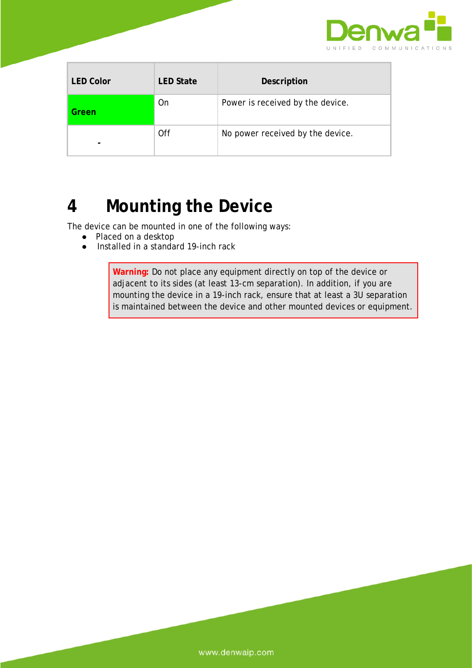

÷,

| <b>LED Color</b> | <b>LED State</b> | <b>Description</b>               |
|------------------|------------------|----------------------------------|
| Green            | On               | Power is received by the device. |
| -                | Off              | No power received by the device. |

## **4 Mounting the Device**

The device can be mounted in one of the following ways:

- Placed on a desktop
- Installed in a standard 19-inch rack

**Warning:** Do not place any equipment directly on top of the device or adjacent to its sides (at least 13-cm separation). In addition, if you are mounting the device in a 19-inch rack, ensure that at least a 3U separation is maintained between the device and other mounted devices or equipment.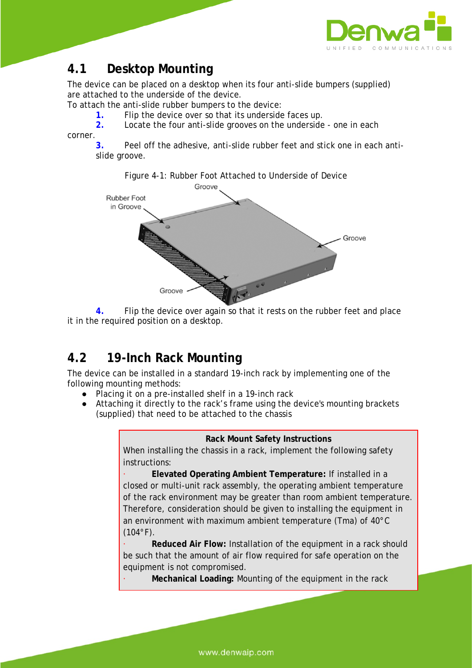

## **4.1 Desktop Mounting**

The device can be placed on a desktop when its four anti-slide bumpers (supplied) are attached to the underside of the device.

To attach the anti-slide rubber bumpers to the device:

**1.** Flip the device over so that its underside faces up.

**2.** Locate the four anti-slide grooves on the underside - one in each

corner.

**3.** Peel off the adhesive, anti-slide rubber feet and stick one in each antislide groove.



**4.** Flip the device over again so that it rests on the rubber feet and place it in the required position on a desktop.

## **4.2 19-Inch Rack Mounting**

The device can be installed in a standard 19-inch rack by implementing one of the following mounting methods:

- Placing it on a pre-installed shelf in a 19-inch rack
- Attaching it directly to the rack's frame using the device's mounting brackets (supplied) that need to be attached to the chassis

#### **Rack Mount Safety Instructions**

When installing the chassis in a rack, implement the following safety instructions:

· **Elevated Operating Ambient Temperature:** If installed in a closed or multi-unit rack assembly, the operating ambient temperature of the rack environment may be greater than room ambient temperature. Therefore, consideration should be given to installing the equipment in an environment with maximum ambient temperature (Tma) of 40°C  $(104°F)$ .

**Reduced Air Flow: Installation of the equipment in a rack should** be such that the amount of air flow required for safe operation on the equipment is not compromised.

**Mechanical Loading: Mounting of the equipment in the rack**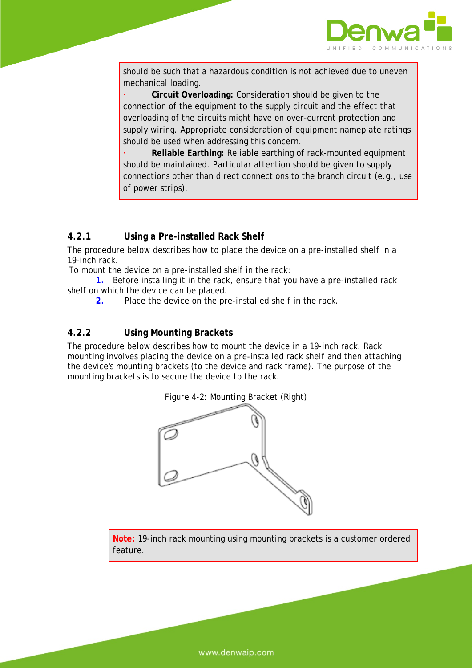

should be such that a hazardous condition is not achieved due to uneven mechanical loading.

· **Circuit Overloading:** Consideration should be given to the connection of the equipment to the supply circuit and the effect that overloading of the circuits might have on over-current protection and supply wiring. Appropriate consideration of equipment nameplate ratings should be used when addressing this concern.

· **Reliable Earthing:** Reliable earthing of rack-mounted equipment should be maintained. Particular attention should be given to supply connections other than direct connections to the branch circuit (e.g., use of power strips).

### **4.2.1 Using a Pre-installed Rack Shelf**

The procedure below describes how to place the device on a pre-installed shelf in a 19-inch rack.

To mount the device on a pre-installed shelf in the rack:

**1.** Before installing it in the rack, ensure that you have a pre-installed rack shelf on which the device can be placed.

**2.** Place the device on the pre-installed shelf in the rack.

#### **4.2.2 Using Mounting Brackets**

The procedure below describes how to mount the device in a 19-inch rack. Rack mounting involves placing the device on a pre-installed rack shelf and then attaching the device's mounting brackets (to the device and rack frame). The purpose of the mounting brackets is to secure the device to the rack.



**Note:** 19-inch rack mounting using mounting brackets is a customer ordered feature.

www.denwaip.com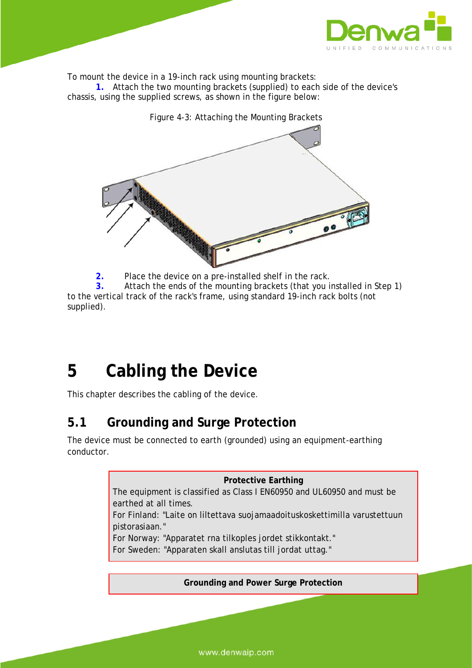

To mount the device in a 19-inch rack using mounting brackets:

**1.** Attach the two mounting brackets (supplied) to each side of the device's chassis, using the supplied screws, as shown in the figure below:



**2.** Place the device on a pre-installed shelf in the rack.

**3.** Attach the ends of the mounting brackets (that you installed in Step 1) to the vertical track of the rack's frame, using standard 19-inch rack bolts (not supplied).

## **5 Cabling the Device**

This chapter describes the cabling of the device.

## **5.1 Grounding and Surge Protection**

The device must be connected to earth (grounded) using an equipment-earthing conductor.

**Protective Earthing**

The equipment is classified as Class I EN60950 and UL60950 and must be earthed at all times.

For Finland: "Laite on liltettava suojamaadoituskoskettimilla varustettuun pistorasiaan."

For Norway: "Apparatet rna tilkoples jordet stikkontakt."

For Sweden: "Apparaten skall anslutas till jordat uttag."

**Grounding and Power Surge Protection**

www.denwaip.com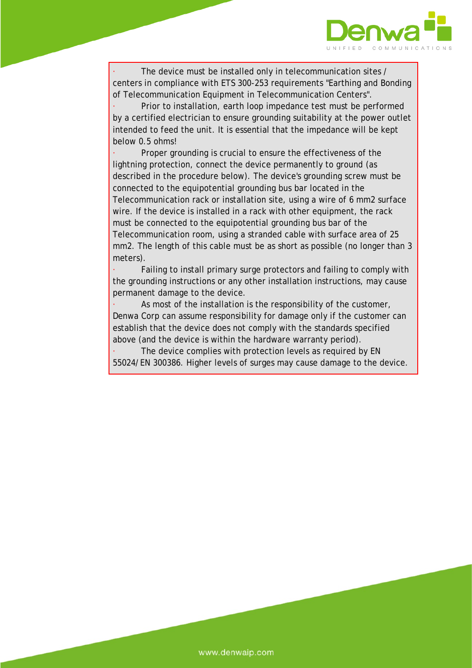

The device must be installed only in telecommunication sites / centers in compliance with ETS 300-253 requirements "Earthing and Bonding of Telecommunication Equipment in Telecommunication Centers".

Prior to installation, earth loop impedance test must be performed by a certified electrician to ensure grounding suitability at the power outlet intended to feed the unit. It is essential that the impedance will be kept below 0.5 ohms!

Proper grounding is crucial to ensure the effectiveness of the lightning protection, connect the device permanently to ground (as described in the procedure below). The device's grounding screw must be connected to the equipotential grounding bus bar located in the Telecommunication rack or installation site, using a wire of 6 mm2 surface wire. If the device is installed in a rack with other equipment, the rack must be connected to the equipotential grounding bus bar of the Telecommunication room, using a stranded cable with surface area of 25 mm2. The length of this cable must be as short as possible (no longer than 3 meters).

Failing to install primary surge protectors and failing to comply with the grounding instructions or any other installation instructions, may cause permanent damage to the device.

As most of the installation is the responsibility of the customer, Denwa Corp can assume responsibility for damage only if the customer can establish that the device does not comply with the standards specified above (and the device is within the hardware warranty period).

The device complies with protection levels as required by EN 55024/EN 300386. Higher levels of surges may cause damage to the device.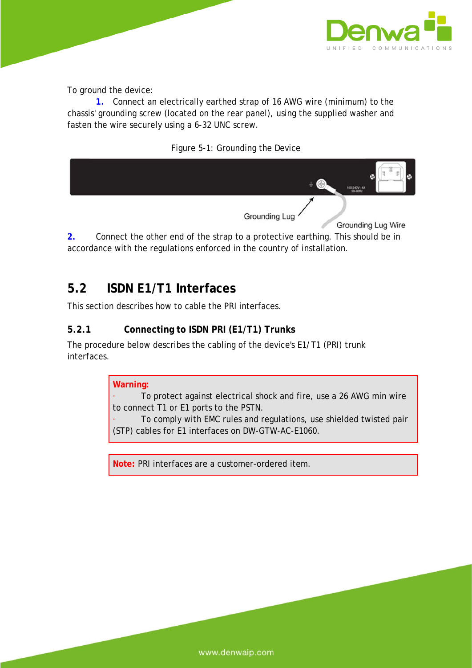

To ground the device:

**1.** Connect an electrically earthed strap of 16 AWG wire (minimum) to the chassis' grounding screw (located on the rear panel), using the supplied washer and fasten the wire securely using a 6-32 UNC screw.





**2.** Connect the other end of the strap to a protective earthing. This should be in accordance with the regulations enforced in the country of installation.

## **5.2 ISDN E1/T1 Interfaces**

This section describes how to cable the PRI interfaces.

### **5.2.1 Connecting to ISDN PRI (E1/T1) Trunks**

The procedure below describes the cabling of the device's E1/T1 (PRI) trunk interfaces.

### **Warning:**

To protect against electrical shock and fire, use a 26 AWG min wire to connect T1 or E1 ports to the PSTN.

· To comply with EMC rules and regulations, use shielded twisted pair (STP) cables for E1 interfaces on DW-GTW-AC-E1060.

**Note:** PRI interfaces are a customer-ordered item.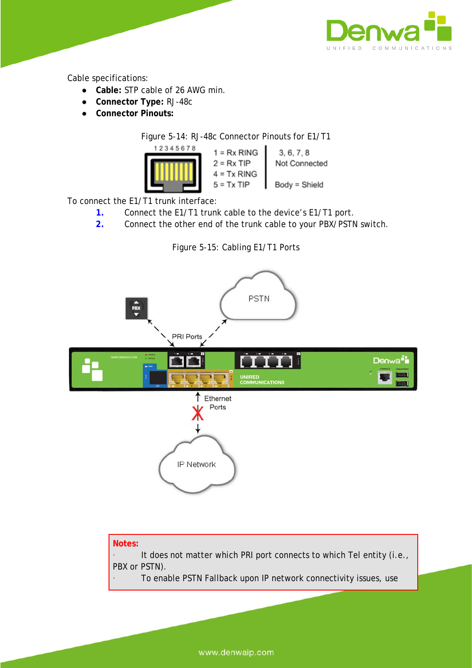

Cable specifications:

- **Cable:** STP cable of 26 AWG min.
- **Connector Type:** RJ-48c
- **Connector Pinouts:**

Figure 5-14: RJ-48c Connector Pinouts for E1/T1



To connect the E1/T1 trunk interface:

- **1.** Connect the E1/T1 trunk cable to the device's E1/T1 port.
- **2.** Connect the other end of the trunk cable to your PBX/PSTN switch.





It does not matter which PRI port connects to which Tel entity (i.e., PBX or PSTN).

To enable PSTN Fallback upon IP network connectivity issues, use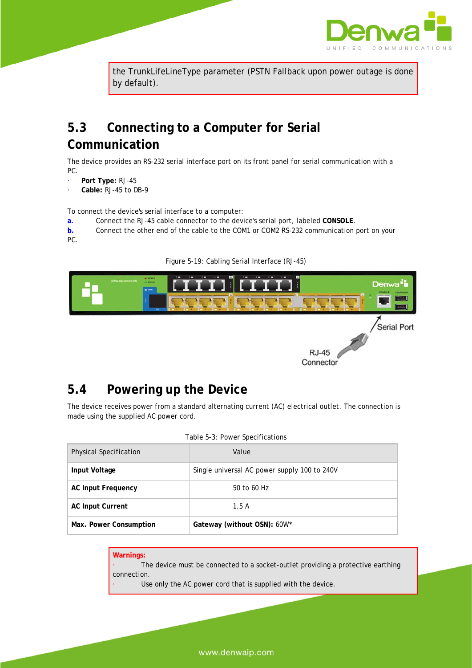

the TrunkLifeLineType parameter (PSTN Fallback upon power outage is done by default).

## **5.3 Connecting to a Computer for Serial Communication**

The device provides an RS-232 serial interface port on its front panel for serial communication with a PC.

- · **Port Type:** RJ-45
- · **Cable:** RJ-45 to DB-9

To connect the device's serial interface to a computer:

**a.** Connect the RJ-45 cable connector to the device's serial port, labeled **CONSOLE**.

**b.** Connect the other end of the cable to the COM1 or COM2 RS-232 communication port on your PC.



**RJ-45** Connector

#### Figure 5-19: Cabling Serial Interface (RJ-45)

## **5.4 Powering up the Device**

The device receives power from a standard alternating current (AC) electrical outlet. The connection is made using the supplied AC power cord.

|                               | rable 5-3: Power Specifications              |
|-------------------------------|----------------------------------------------|
| <b>Physical Specification</b> | Value                                        |
| Input Voltage                 | Single universal AC power supply 100 to 240V |
| <b>AC Input Frequency</b>     | 50 to 60 Hz                                  |
| <b>AC Input Current</b>       | 1.5A                                         |
| Max. Power Consumption        | Gateway (without OSN): 60W*                  |

#### Table 5-3: Power Specifications

| Warnings:   |                                                                                 |
|-------------|---------------------------------------------------------------------------------|
|             | The device must be connected to a socket-outlet providing a protective earthing |
| connection. |                                                                                 |
|             | Use only the AC power cord that is supplied with the device.                    |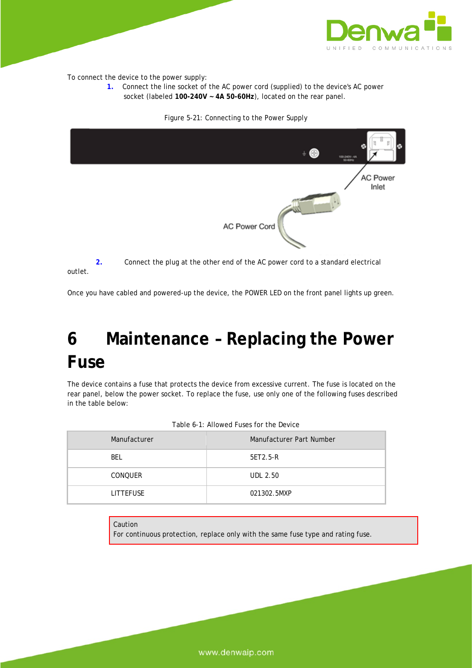

To connect the device to the power supply:

**1.** Connect the line socket of the AC power cord (supplied) to the device's AC power socket (labeled **100-240V ~ 4A 50-60Hz**), located on the rear panel.



Figure 5-21: Connecting to the Power Supply

**2.** Connect the plug at the other end of the AC power cord to a standard electrical outlet.

Once you have cabled and powered-up the device, the POWER LED on the front panel lights up green.

## **6 Maintenance – Replacing the Power Fuse**

The device contains a fuse that protects the device from excessive current. The fuse is located on the rear panel, below the power socket. To replace the fuse, use only one of the following fuses described in the table below:

| Manufacturer     | Manufacturer Part Number |
|------------------|--------------------------|
| <b>BEL</b>       | 5ET2.5-R                 |
| <b>CONOUER</b>   | <b>UDL 2.50</b>          |
| <b>LITTEFUSE</b> | 021302.5MXP              |

| Table 6-1: Allowed Fuses for the Device |  |
|-----------------------------------------|--|
|-----------------------------------------|--|

Caution

For continuous protection, replace only with the same fuse type and rating fuse.